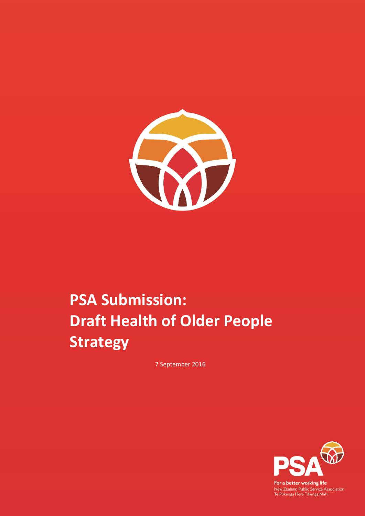

# **PSA Submission: Draft Health of Older People Strategy**

7 September 2016



For a better working life New Zealand Public Service Association<br>Te Pükenga Here Tikanga Mahi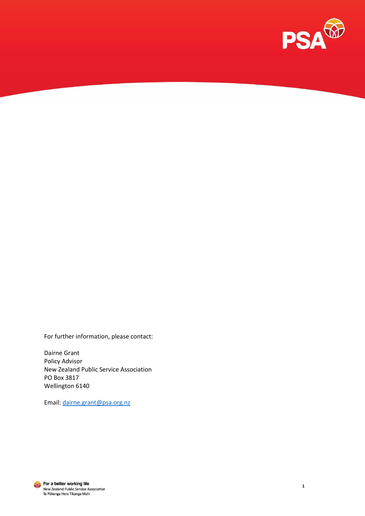

For further information, please contact:

Dairne Grant Policy Advisor New Zealand Public Service Association PO Box 3817 Wellington 6140

Email: [dairne.grant@psa.org.nz](mailto:dairne.grant@psa.org.nz)



For a better working life New Zealand Public Service Association<br>Te Pukenga Here Tikanga Mahi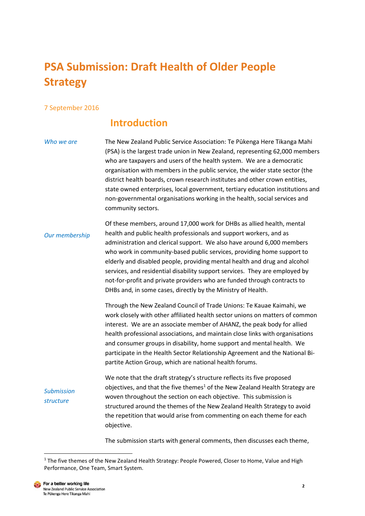# **PSA Submission: Draft Health of Older People Strategy**

#### 7 September 2016

## **Introduction**

*Who we are* The New Zealand Public Service Association: Te Pūkenga Here Tikanga Mahi (PSA) is the largest trade union in New Zealand, representing 62,000 members who are taxpayers and users of the health system. We are a democratic organisation with members in the public service, the wider state sector (the district health boards, crown research institutes and other crown entities, state owned enterprises, local government, tertiary education institutions and non-governmental organisations working in the health, social services and community sectors.

*Our membership* Of these members, around 17,000 work for DHBs as allied health, mental health and public health professionals and support workers, and as administration and clerical support. We also have around 6,000 members who work in community-based public services, providing home support to elderly and disabled people, providing mental health and drug and alcohol services, and residential disability support services. They are employed by not-for-profit and private providers who are funded through contracts to DHBs and, in some cases, directly by the Ministry of Health.

> Through the New Zealand Council of Trade Unions: Te Kauae Kaimahi, we work closely with other affiliated health sector unions on matters of common interest. We are an associate member of AHANZ, the peak body for allied health professional associations, and maintain close links with organisations and consumer groups in disability, home support and mental health. We participate in the Health Sector Relationship Agreement and the National Bipartite Action Group, which are national health forums.

*Submission structure* We note that the draft strategy's structure reflects its five proposed objectives, and that the five themes<sup>1</sup> of the New Zealand Health Strategy are woven throughout the section on each objective. This submission is structured around the themes of the New Zealand Health Strategy to avoid the repetition that would arise from commenting on each theme for each objective.

The submission starts with general comments, then discusses each theme,

<sup>&</sup>lt;sup>1</sup> The five themes of the New Zealand Health Strategy: People Powered, Closer to Home, Value and High Performance, One Team, Smart System.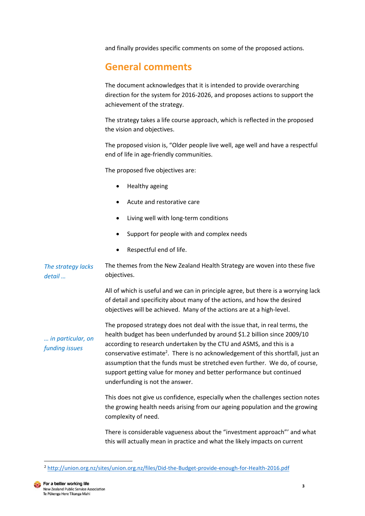and finally provides specific comments on some of the proposed actions.

# **General comments**

The document acknowledges that it is intended to provide overarching direction for the system for 2016-2026, and proposes actions to support the achievement of the strategy.

The strategy takes a life course approach, which is reflected in the proposed the vision and objectives.

The proposed vision is, "Older people live well, age well and have a respectful end of life in age-friendly communities.

The proposed five objectives are:

- Healthy ageing
- Acute and restorative care
- Living well with long-term conditions
- Support for people with and complex needs
- Respectful end of life.

*The strategy lacks detail …* The themes from the New Zealand Health Strategy are woven into these five objectives.

> All of which is useful and we can in principle agree, but there is a worrying lack of detail and specificity about many of the actions, and how the desired objectives will be achieved. Many of the actions are at a high-level.

*… in particular, on funding issues*

The proposed strategy does not deal with the issue that, in real terms, the health budget has been underfunded by around \$1.2 billion since 2009/10 according to research undertaken by the CTU and ASMS, and this is a conservative estimate<sup>2</sup>. There is no acknowledgement of this shortfall, just an assumption that the funds must be stretched even further. We do, of course, support getting value for money and better performance but continued underfunding is not the answer.

This does not give us confidence, especially when the challenges section notes the growing health needs arising from our ageing population and the growing complexity of need.

There is considerable vagueness about the "investment approach"' and what this will actually mean in practice and what the likely impacts on current

<sup>2</sup> <http://union.org.nz/sites/union.org.nz/files/Did-the-Budget-provide-enough-for-Health-2016.pdf>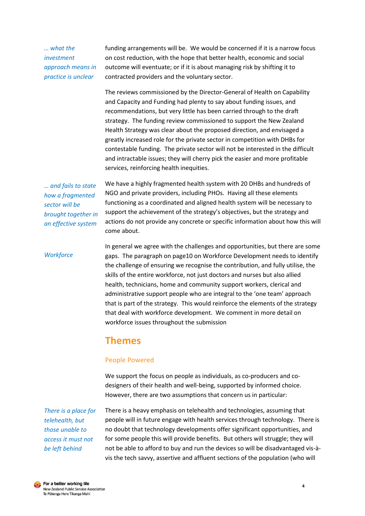#### *… what the investment approach means in practice is unclear*

funding arrangements will be. We would be concerned if it is a narrow focus on cost reduction, with the hope that better health, economic and social outcome will eventuate; or if it is about managing risk by shifting it to contracted providers and the voluntary sector.

The reviews commissioned by the Director-General of Health on Capability and Capacity and Funding had plenty to say about funding issues, and recommendations, but very little has been carried through to the draft strategy. The funding review commissioned to support the New Zealand Health Strategy was clear about the proposed direction, and envisaged a greatly increased role for the private sector in competition with DHBs for contestable funding. The private sector will not be interested in the difficult and intractable issues; they will cherry pick the easier and more profitable services, reinforcing health inequities.

*… and fails to state how a fragmented sector will be brought together in an effective system*

We have a highly fragmented health system with 20 DHBs and hundreds of NGO and private providers, including PHOs. Having all these elements functioning as a coordinated and aligned health system will be necessary to support the achievement of the strategy's objectives, but the strategy and actions do not provide any concrete or specific information about how this will come about.

*Workforce*

In general we agree with the challenges and opportunities, but there are some gaps. The paragraph on page10 on Workforce Development needs to identify the challenge of ensuring we recognise the contribution, and fully utilise, the skills of the entire workforce, not just doctors and nurses but also allied health, technicians, home and community support workers, clerical and administrative support people who are integral to the 'one team' approach that is part of the strategy. This would reinforce the elements of the strategy that deal with workforce development. We comment in more detail on workforce issues throughout the submission

### **Themes**

#### People Powered

We support the focus on people as individuals, as co-producers and codesigners of their health and well-being, supported by informed choice. However, there are two assumptions that concern us in particular:

*There is a place for telehealth, but those unable to access it must not be left behind*

There is a heavy emphasis on telehealth and technologies, assuming that people will in future engage with health services through technology. There is no doubt that technology developments offer significant opportunities, and for some people this will provide benefits. But others will struggle; they will not be able to afford to buy and run the devices so will be disadvantaged vis-àvis the tech savvy, assertive and affluent sections of the population (who will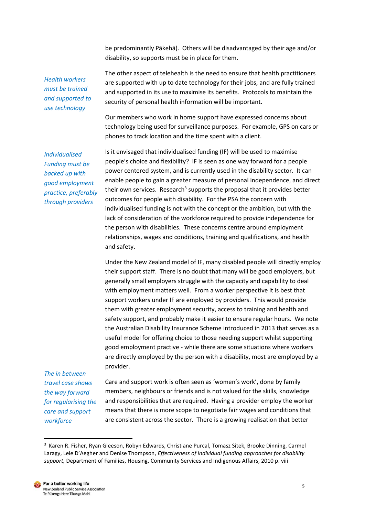be predominantly Pākehā). Others will be disadvantaged by their age and/or disability, so supports must be in place for them.

*Health workers must be trained and supported to use technology*

The other aspect of telehealth is the need to ensure that health practitioners are supported with up to date technology for their jobs, and are fully trained and supported in its use to maximise its benefits. Protocols to maintain the security of personal health information will be important.

Our members who work in home support have expressed concerns about technology being used for surveillance purposes. For example, GPS on cars or phones to track location and the time spent with a client.

*Individualised Funding must be backed up with good employment practice, preferably through providers*

Is it envisaged that individualised funding (IF) will be used to maximise people's choice and flexibility? IF is seen as one way forward for a people power centered system, and is currently used in the disability sector. It can enable people to gain a greater measure of personal independence, and direct their own services. Research<sup>3</sup> supports the proposal that it provides better outcomes for people with disability. For the PSA the concern with individualised funding is not with the concept or the ambition, but with the lack of consideration of the workforce required to provide independence for the person with disabilities. These concerns centre around employment relationships, wages and conditions, training and qualifications, and health and safety.

Under the New Zealand model of IF, many disabled people will directly employ their support staff. There is no doubt that many will be good employers, but generally small employers struggle with the capacity and capability to deal with employment matters well. From a worker perspective it is best that support workers under IF are employed by providers. This would provide them with greater employment security, access to training and health and safety support, and probably make it easier to ensure regular hours. We note the Australian Disability Insurance Scheme introduced in 2013 that serves as a useful model for offering choice to those needing support whilst supporting good employment practive - while there are some situations where workers are directly employed by the person with a disability, most are employed by a provider.

*The in between travel case shows the way forward for regularising the care and support workforce*

**.** 

Care and support work is often seen as 'women's work', done by family members, neighbours or friends and is not valued for the skills, knowledge and responsibilities that are required. Having a provider employ the worker means that there is more scope to negotiate fair wages and conditions that are consistent across the sector. There is a growing realisation that better

<sup>&</sup>lt;sup>3</sup> Karen R. Fisher, Ryan Gleeson, Robyn Edwards, Christiane Purcal, Tomasz Sitek, Brooke Dinning, Carmel Laragy, Lele D'Aegher and Denise Thompson, *Effectiveness of individual funding approaches for disability support,* Department of Families, Housing, Community Services and Indigenous Affairs, 2010 p. viii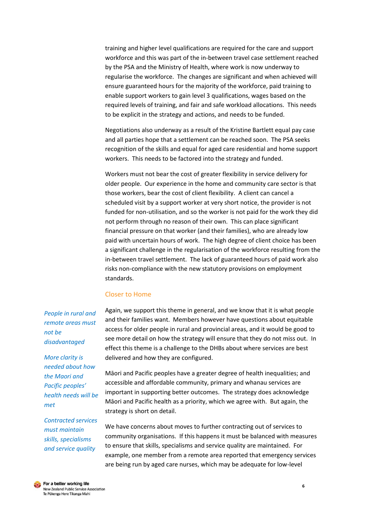training and higher level qualifications are required for the care and support workforce and this was part of the in-between travel case settlement reached by the PSA and the Ministry of Health, where work is now underway to regularise the workforce. The changes are significant and when achieved will ensure guaranteed hours for the majority of the workforce, paid training to enable support workers to gain level 3 qualifications, wages based on the required levels of training, and fair and safe workload allocations. This needs to be explicit in the strategy and actions, and needs to be funded.

Negotiations also underway as a result of the Kristine Bartlett equal pay case and all parties hope that a settlement can be reached soon. The PSA seeks recognition of the skills and equal for aged care residential and home support workers. This needs to be factored into the strategy and funded.

Workers must not bear the cost of greater flexibility in service delivery for older people. Our experience in the home and community care sector is that those workers, bear the cost of client flexibility. A client can cancel a scheduled visit by a support worker at very short notice, the provider is not funded for non-utilisation, and so the worker is not paid for the work they did not perform through no reason of their own. This can place significant financial pressure on that worker (and their families), who are already low paid with uncertain hours of work. The high degree of client choice has been a significant challenge in the regularisation of the workforce resulting from the in-between travel settlement. The lack of guaranteed hours of paid work also risks non-compliance with the new statutory provisions on employment standards.

#### Closer to Home

Again, we support this theme in general, and we know that it is what people and their families want. Members however have questions about equitable access for older people in rural and provincial areas, and it would be good to see more detail on how the strategy will ensure that they do not miss out. In effect this theme is a challenge to the DHBs about where services are best delivered and how they are configured.

Māori and Pacific peoples have a greater degree of health inequalities; and accessible and affordable community, primary and whanau services are important in supporting better outcomes. The strategy does acknowledge Māori and Pacific health as a priority, which we agree with. But again, the strategy is short on detail.

We have concerns about moves to further contracting out of services to community organisations. If this happens it must be balanced with measures to ensure that skills, specialisms and service quality are maintained. For example, one member from a remote area reported that emergency services are being run by aged care nurses, which may be adequate for low-level

*People in rural and remote areas must not be disadvantaged*

*More clarity is needed about how the Maori and Pacific peoples' health needs will be met* 

*Contracted services must maintain skills, specialisms and service quality*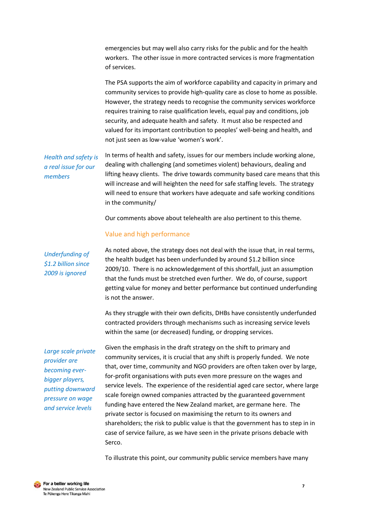emergencies but may well also carry risks for the public and for the health workers. The other issue in more contracted services is more fragmentation of services.

The PSA supports the aim of workforce capability and capacity in primary and community services to provide high-quality care as close to home as possible. However, the strategy needs to recognise the community services workforce requires training to raise qualification levels, equal pay and conditions, job security, and adequate health and safety. It must also be respected and valued for its important contribution to peoples' well-being and health, and not just seen as low-value 'women's work'.

*Health and safety is a real issue for our members*

In terms of health and safety, issues for our members include working alone, dealing with challenging (and sometimes violent) behaviours, dealing and lifting heavy clients. The drive towards community based care means that this will increase and will heighten the need for safe staffing levels. The strategy will need to ensure that workers have adequate and safe working conditions in the community/

Our comments above about telehealth are also pertinent to this theme.

#### Value and high performance

*Underfunding of \$1.2 billion since 2009 is ignored*

As noted above, the strategy does not deal with the issue that, in real terms, the health budget has been underfunded by around \$1.2 billion since 2009/10. There is no acknowledgement of this shortfall, just an assumption that the funds must be stretched even further. We do, of course, support getting value for money and better performance but continued underfunding is not the answer.

As they struggle with their own deficits, DHBs have consistently underfunded contracted providers through mechanisms such as increasing service levels within the same (or decreased) funding, or dropping services.

*Large scale private provider are becoming everbigger players, putting downward pressure on wage and service levels*

Given the emphasis in the draft strategy on the shift to primary and community services, it is crucial that any shift is properly funded. We note that, over time, community and NGO providers are often taken over by large, for-profit organisations with puts even more pressure on the wages and service levels. The experience of the residential aged care sector, where large scale foreign owned companies attracted by the guaranteed government funding have entered the New Zealand market, are germane here. The private sector is focused on maximising the return to its owners and shareholders; the risk to public value is that the government has to step in in case of service failure, as we have seen in the private prisons debacle with Serco.

To illustrate this point, our community public service members have many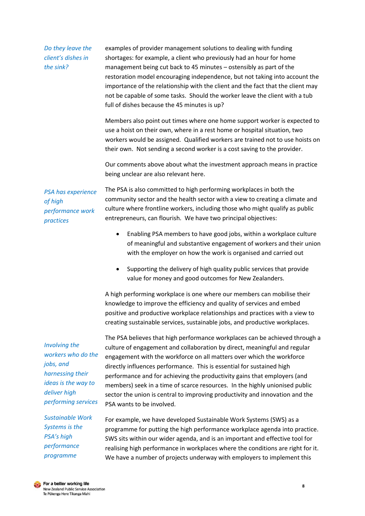*Do they leave the client's dishes in the sink?*

examples of provider management solutions to dealing with funding shortages: for example, a client who previously had an hour for home management being cut back to 45 minutes – ostensibly as part of the restoration model encouraging independence, but not taking into account the importance of the relationship with the client and the fact that the client may not be capable of some tasks. Should the worker leave the client with a tub full of dishes because the 45 minutes is up?

Members also point out times where one home support worker is expected to use a hoist on their own, where in a rest home or hospital situation, two workers would be assigned. Qualified workers are trained not to use hoists on their own. Not sending a second worker is a cost saving to the provider.

Our comments above about what the investment approach means in practice being unclear are also relevant here.

*PSA has experience of high performance work practices*

The PSA is also committed to high performing workplaces in both the community sector and the health sector with a view to creating a climate and culture where frontline workers, including those who might qualify as public entrepreneurs, can flourish. We have two principal objectives:

- Enabling PSA members to have good jobs, within a workplace culture of meaningful and substantive engagement of workers and their union with the employer on how the work is organised and carried out
- Supporting the delivery of high quality public services that provide value for money and good outcomes for New Zealanders.

A high performing workplace is one where our members can mobilise their knowledge to improve the efficiency and quality of services and embed positive and productive workplace relationships and practices with a view to creating sustainable services, sustainable jobs, and productive workplaces.

*Involving the workers who do the jobs, and harnessing their ideas is the way to deliver high performing services* The PSA believes that high performance workplaces can be achieved through a culture of engagement and collaboration by direct, meaningful and regular engagement with the workforce on all matters over which the workforce directly influences performance. This is essential for sustained high performance and for achieving the productivity gains that employers (and members) seek in a time of scarce resources. In the highly unionised public sector the union is central to improving productivity and innovation and the PSA wants to be involved.

*Sustainable Work Systems is the PSA's high performance programme*

For example, we have developed Sustainable Work Systems (SWS) as a programme for putting the high performance workplace agenda into practice. SWS sits within our wider agenda, and is an important and effective tool for realising high performance in workplaces where the conditions are right for it. We have a number of projects underway with employers to implement this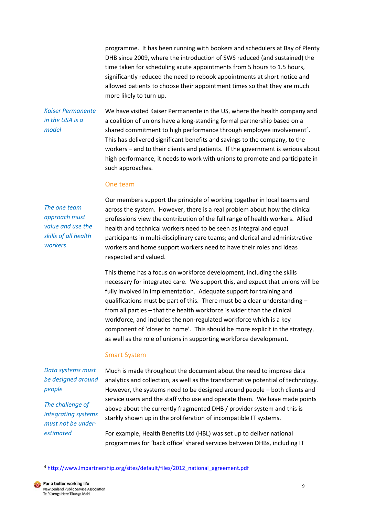programme. It has been running with bookers and schedulers at Bay of Plenty DHB since 2009, where the introduction of SWS reduced (and sustained) the time taken for scheduling acute appointments from 5 hours to 1.5 hours, significantly reduced the need to rebook appointments at short notice and allowed patients to choose their appointment times so that they are much more likely to turn up.

#### *Kaiser Permanente in the USA is a model*

We have visited Kaiser Permanente in the US, where the health company and a coalition of unions have a long-standing formal partnership based on a shared commitment to high performance through employee involvement<sup>4</sup>. This has delivered significant benefits and savings to the company, to the workers – and to their clients and patients. If the government is serious about high performance, it needs to work with unions to promote and participate in such approaches.

#### One team

*The one team approach must value and use the skills of all health workers*

Our members support the principle of working together in local teams and across the system. However, there is a real problem about how the clinical professions view the contribution of the full range of health workers. Allied health and technical workers need to be seen as integral and equal participants in multi-disciplinary care teams; and clerical and administrative workers and home support workers need to have their roles and ideas respected and valued.

This theme has a focus on workforce development, including the skills necessary for integrated care. We support this, and expect that unions will be fully involved in implementation. Adequate support for training and qualifications must be part of this. There must be a clear understanding – from all parties – that the health workforce is wider than the clinical workforce, and includes the non-regulated workforce which is a key component of 'closer to home'. This should be more explicit in the strategy, as well as the role of unions in supporting workforce development.

#### Smart System

*Data systems must be designed around people*

*The challenge of integrating systems must not be underestimated*

Much is made throughout the document about the need to improve data analytics and collection, as well as the transformative potential of technology. However, the systems need to be designed around people – both clients and service users and the staff who use and operate them. We have made points above about the currently fragmented DHB / provider system and this is starkly shown up in the proliferation of incompatible IT systems.

For example, Health Benefits Ltd (HBL) was set up to deliver national programmes for 'back office' shared services between DHBs, including IT

<sup>4</sup> [http://www.lmpartnership.org/sites/default/files/2012\\_national\\_agreement.pdf](http://www.lmpartnership.org/sites/default/files/2012_national_agreement.pdf)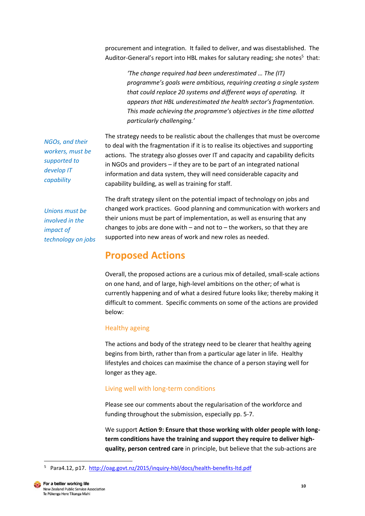procurement and integration. It failed to deliver, and was disestablished. The Auditor-General's report into HBL makes for salutary reading; she notes<sup>5</sup> that:

> *'The change required had been underestimated … The (IT) programme's goals were ambitious, requiring creating a single system that could replace 20 systems and different ways of operating. It appears that HBL underestimated the health sector's fragmentation. This made achieving the programme's objectives in the time allotted particularly challenging.'*

The strategy needs to be realistic about the challenges that must be overcome to deal with the fragmentation if it is to realise its objectives and supporting actions. The strategy also glosses over IT and capacity and capability deficits in NGOs and providers – if they are to be part of an integrated national information and data system, they will need considerable capacity and capability building, as well as training for staff.

*NGOs, and their workers, must be supported to develop IT capability* 

*Unions must be involved in the impact of technology on jobs* The draft strategy silent on the potential impact of technology on jobs and changed work practices. Good planning and communication with workers and their unions must be part of implementation, as well as ensuring that any changes to jobs are done with  $-$  and not to  $-$  the workers, so that they are supported into new areas of work and new roles as needed.

# **Proposed Actions**

Overall, the proposed actions are a curious mix of detailed, small-scale actions on one hand, and of large, high-level ambitions on the other; of what is currently happening and of what a desired future looks like; thereby making it difficult to comment. Specific comments on some of the actions are provided below:

#### Healthy ageing

The actions and body of the strategy need to be clearer that healthy ageing begins from birth, rather than from a particular age later in life. Healthy lifestyles and choices can maximise the chance of a person staying well for longer as they age.

#### Living well with long-term conditions

Please see our comments about the regularisation of the workforce and funding throughout the submission, especially pp. 5-7.

We support **Action 9: Ensure that those working with older people with longterm conditions have the training and support they require to deliver highquality, person centred care** in principle, but believe that the sub-actions are

<sup>&</sup>lt;sup>5</sup> Para4.12, p17. <http://oag.govt.nz/2015/inquiry-hbl/docs/health-benefits-ltd.pdf>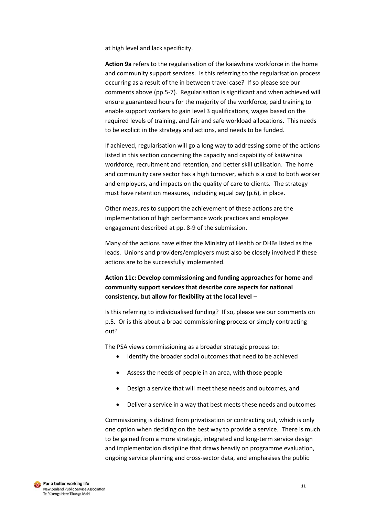at high level and lack specificity.

**Action 9a** refers to the regularisation of the kaiāwhina workforce in the home and community support services. Is this referring to the regularisation process occurring as a result of the in between travel case? If so please see our comments above (pp.5-7). Regularisation is significant and when achieved will ensure guaranteed hours for the majority of the workforce, paid training to enable support workers to gain level 3 qualifications, wages based on the required levels of training, and fair and safe workload allocations. This needs to be explicit in the strategy and actions, and needs to be funded.

If achieved, regularisation will go a long way to addressing some of the actions listed in this section concerning the capacity and capability of kaiāwhina workforce, recruitment and retention, and better skill utilisation. The home and community care sector has a high turnover, which is a cost to both worker and employers, and impacts on the quality of care to clients. The strategy must have retention measures, including equal pay (p.6), in place.

Other measures to support the achievement of these actions are the implementation of high performance work practices and employee engagement described at pp. 8-9 of the submission.

Many of the actions have either the Ministry of Health or DHBs listed as the leads. Unions and providers/employers must also be closely involved if these actions are to be successfully implemented.

#### **Action 11c: Develop commissioning and funding approaches for home and community support services that describe core aspects for national consistency, but allow for flexibility at the local level** –

Is this referring to individualised funding? If so, please see our comments on p.5. Or is this about a broad commissioning process or simply contracting out?

The PSA views commissioning as a broader strategic process to:

- Identify the broader social outcomes that need to be achieved
- Assess the needs of people in an area, with those people
- Design a service that will meet these needs and outcomes, and
- Deliver a service in a way that best meets these needs and outcomes

Commissioning is distinct from privatisation or contracting out, which is only one option when deciding on the best way to provide a service. There is much to be gained from a more strategic, integrated and long-term service design and implementation discipline that draws heavily on programme evaluation, ongoing service planning and cross-sector data, and emphasises the public